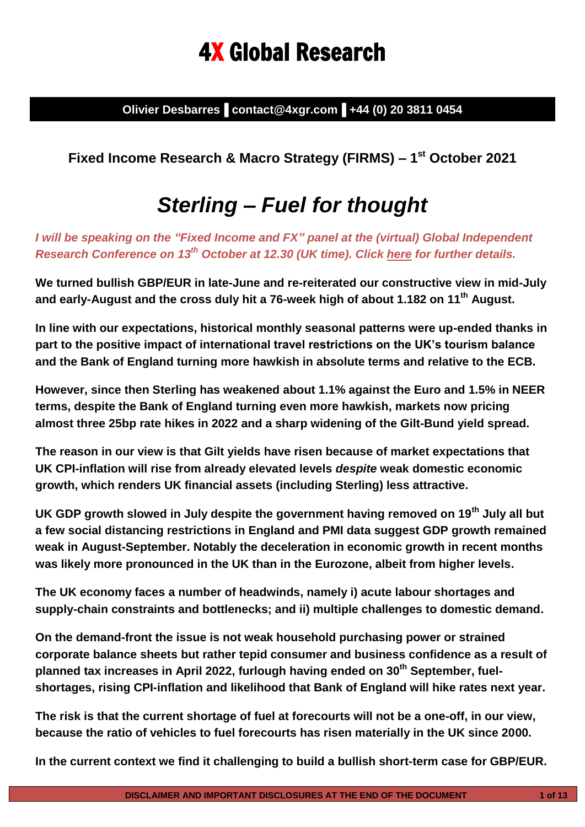# 4X Global Research

**Olivier Desbarres▐ contact@4xgr.com▐ +44 (0) 20 3811 0454**

**Fixed Income Research & Macro Strategy (FIRMS) – 1 st October 2021**

# *Sterling – Fuel for thought*

*I will be speaking on the "Fixed Income and FX" panel at the (virtual) Global Independent Research Conference on 13th October at 12.30 (UK time). Click [here](https://www.researchforinvestors.com/) for further details.* 

**We turned bullish GBP/EUR in late-June and re-reiterated our constructive view in mid-July and early-August and the cross duly hit a 76-week high of about 1.182 on 11th August.**

**In line with our expectations, historical monthly seasonal patterns were up-ended thanks in part to the positive impact of international travel restrictions on the UK's tourism balance and the Bank of England turning more hawkish in absolute terms and relative to the ECB.**

**However, since then Sterling has weakened about 1.1% against the Euro and 1.5% in NEER terms, despite the Bank of England turning even more hawkish, markets now pricing almost three 25bp rate hikes in 2022 and a sharp widening of the Gilt-Bund yield spread.**

**The reason in our view is that Gilt yields have risen because of market expectations that UK CPI-inflation will rise from already elevated levels** *despite* **weak domestic economic growth, which renders UK financial assets (including Sterling) less attractive.**

**UK GDP growth slowed in July despite the government having removed on 19th July all but a few social distancing restrictions in England and PMI data suggest GDP growth remained weak in August-September. Notably the deceleration in economic growth in recent months was likely more pronounced in the UK than in the Eurozone, albeit from higher levels.** 

**The UK economy faces a number of headwinds, namely i) acute labour shortages and supply-chain constraints and bottlenecks; and ii) multiple challenges to domestic demand.**

**On the demand-front the issue is not weak household purchasing power or strained corporate balance sheets but rather tepid consumer and business confidence as a result of planned tax increases in April 2022, furlough having ended on 30 th September, fuelshortages, rising CPI-inflation and likelihood that Bank of England will hike rates next year.** 

**The risk is that the current shortage of fuel at forecourts will not be a one-off, in our view, because the ratio of vehicles to fuel forecourts has risen materially in the UK since 2000.**

**In the current context we find it challenging to build a bullish short-term case for GBP/EUR.**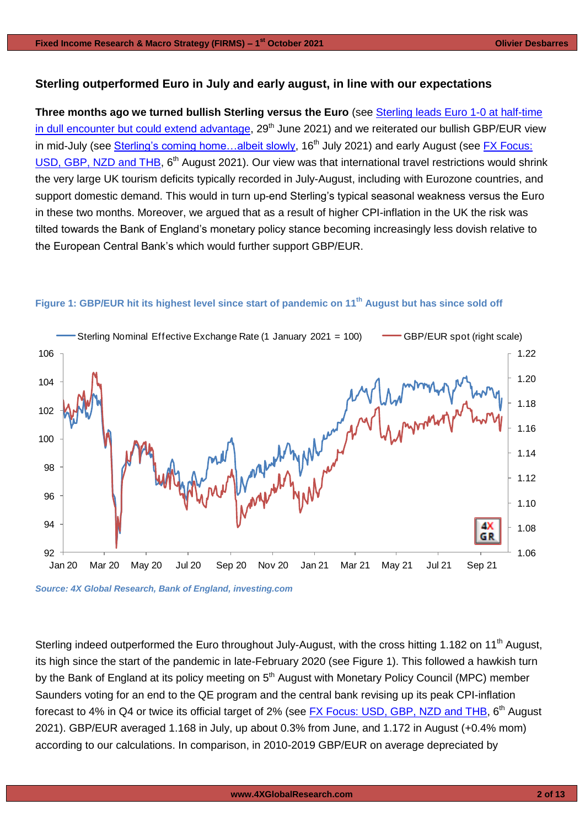# **Sterling outperformed Euro in July and early august, in line with our expectations**

**Three months ago we turned bullish Sterling versus the Euro** (see [Sterling leads Euro 1-0 at half-time](https://4xglobalresearch.us16.list-manage.com/track/click?u=948838a86ce72ab6d8019a39d&id=37a1a35868&e=78b92c3f0d)  [in dull encounter but could extend advantage,](https://4xglobalresearch.us16.list-manage.com/track/click?u=948838a86ce72ab6d8019a39d&id=37a1a35868&e=78b92c3f0d) 29<sup>th</sup> June 2021) and we reiterated our bullish GBP/EUR view in mid-July (see Sterling's coming home...albeit slowly, 16<sup>th</sup> July 2021) and early August (see FX Focus: [USD, GBP, NZD and THB,](https://www.4xglobalresearch.com/wp-content/uploads/2021/08/4X-Global-Research_-FX-Focus_USD-GBP-NZD-and-THB.pdf) 6<sup>th</sup> August 2021). Our view was that international travel restrictions would shrink the very large UK tourism deficits typically recorded in July-August, including with Eurozone countries, and support domestic demand. This would in turn up-end Sterling's typical seasonal weakness versus the Euro in these two months. Moreover, we argued that as a result of higher CPI-inflation in the UK the risk was tilted towards the Bank of England's monetary policy stance becoming increasingly less dovish relative to the European Central Bank's which would further support GBP/EUR.



# Figure 1: GBP/EUR hit its highest level since start of pandemic on 11<sup>th</sup> August but has since sold off

*Source: 4X Global Research, Bank of England, investing.com*

Sterling indeed outperformed the Euro throughout July-August, with the cross hitting 1.182 on 11<sup>th</sup> August. its high since the start of the pandemic in late-February 2020 (see Figure 1). This followed a hawkish turn by the Bank of England at its policy meeting on 5<sup>th</sup> August with Monetary Policy Council (MPC) member Saunders voting for an end to the QE program and the central bank revising up its peak CPI-inflation forecast to 4% in Q4 or twice its official target of 2% (see **FX Focus: USD, GBP, NZD and THB**, 6<sup>th</sup> August 2021). GBP/EUR averaged 1.168 in July, up about 0.3% from June, and 1.172 in August (+0.4% mom) according to our calculations. In comparison, in 2010-2019 GBP/EUR on average depreciated by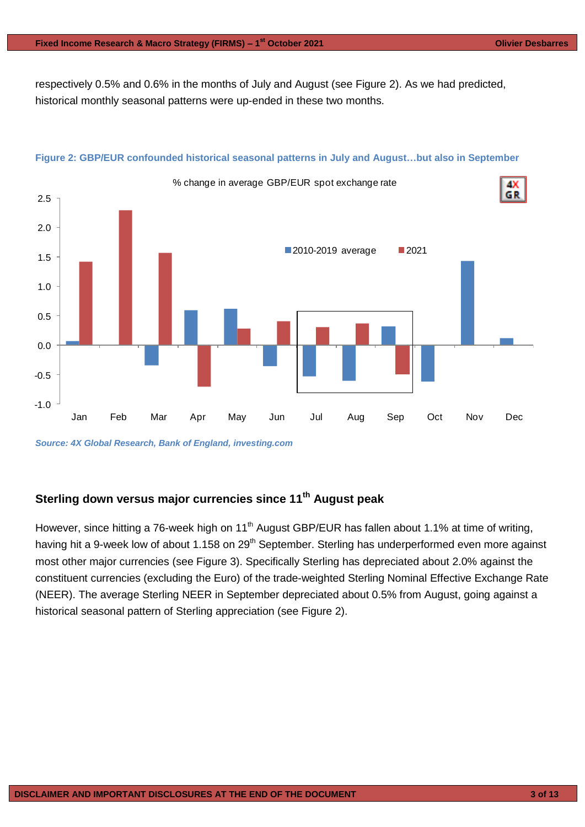respectively 0.5% and 0.6% in the months of July and August (see Figure 2). As we had predicted, historical monthly seasonal patterns were up-ended in these two months.



# **Figure 2: GBP/EUR confounded historical seasonal patterns in July and August…but also in September**

# **Sterling down versus major currencies since 11th August peak**

However, since hitting a 76-week high on 11<sup>th</sup> August GBP/EUR has fallen about 1.1% at time of writing, having hit a 9-week low of about 1.158 on 29<sup>th</sup> September. Sterling has underperformed even more against most other major currencies (see Figure 3). Specifically Sterling has depreciated about 2.0% against the constituent currencies (excluding the Euro) of the trade-weighted Sterling Nominal Effective Exchange Rate (NEER). The average Sterling NEER in September depreciated about 0.5% from August, going against a historical seasonal pattern of Sterling appreciation (see Figure 2).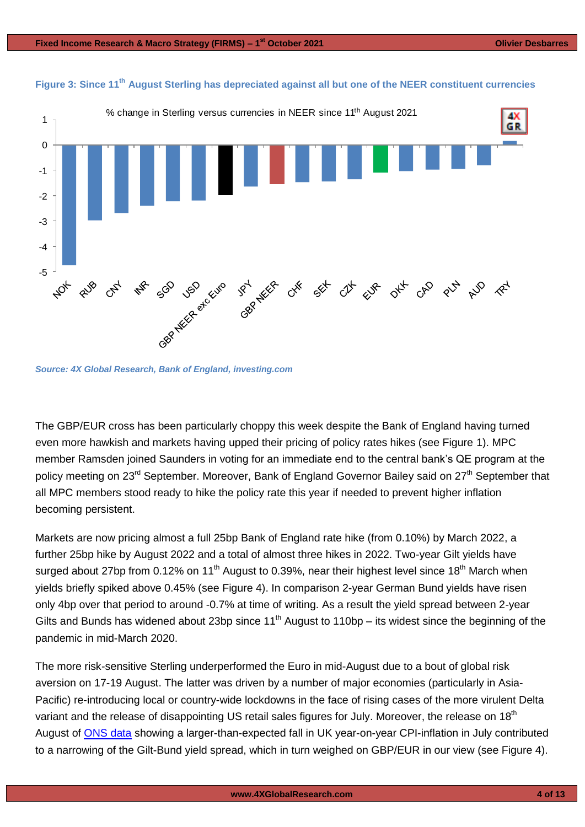

*Source: 4X Global Research, Bank of England, investing.com*

The GBP/EUR cross has been particularly choppy this week despite the Bank of England having turned even more hawkish and markets having upped their pricing of policy rates hikes (see Figure 1). MPC member Ramsden joined Saunders in voting for an immediate end to the central bank's QE program at the policy meeting on 23<sup>rd</sup> September. Moreover, Bank of England Governor Bailey said on 27<sup>th</sup> September that all MPC members stood ready to hike the policy rate this year if needed to prevent higher inflation becoming persistent.

Markets are now pricing almost a full 25bp Bank of England rate hike (from 0.10%) by March 2022, a further 25bp hike by August 2022 and a total of almost three hikes in 2022. Two-year Gilt yields have surged about 27bp from 0.12% on 11<sup>th</sup> August to 0.39%, near their highest level since 18<sup>th</sup> March when yields briefly spiked above 0.45% (see Figure 4). In comparison 2-year German Bund yields have risen only 4bp over that period to around -0.7% at time of writing. As a result the yield spread between 2-year Gilts and Bunds has widened about 23bp since  $11<sup>th</sup>$  August to 110bp – its widest since the beginning of the pandemic in mid-March 2020.

The more risk-sensitive Sterling underperformed the Euro in mid-August due to a bout of global risk aversion on 17-19 August. The latter was driven by a number of major economies (particularly in Asia-Pacific) re-introducing local or country-wide lockdowns in the face of rising cases of the more virulent Delta variant and the release of disappointing US retail sales figures for July. Moreover, the release on 18<sup>th</sup> August of [ONS](https://www.ons.gov.uk/economy/inflationandpriceindices/bulletins/consumerpriceinflation/july2021) data showing a larger-than-expected fall in UK year-on-year CPI-inflation in July contributed to a narrowing of the Gilt-Bund yield spread, which in turn weighed on GBP/EUR in our view (see Figure 4).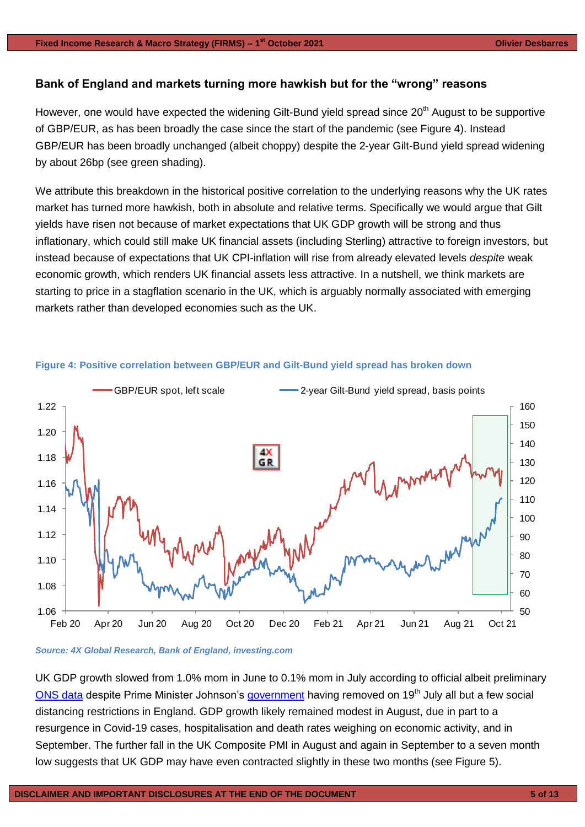# **Bank of England and markets turning more hawkish but for the "wrong" reasons**

However, one would have expected the widening Gilt-Bund yield spread since  $20<sup>th</sup>$  August to be supportive of GBP/EUR, as has been broadly the case since the start of the pandemic (see Figure 4). Instead GBP/EUR has been broadly unchanged (albeit choppy) despite the 2-year Gilt-Bund yield spread widening by about 26bp (see green shading).

We attribute this breakdown in the historical positive correlation to the underlying reasons why the UK rates market has turned more hawkish, both in absolute and relative terms. Specifically we would argue that Gilt yields have risen not because of market expectations that UK GDP growth will be strong and thus inflationary, which could still make UK financial assets (including Sterling) attractive to foreign investors, but instead because of expectations that UK CPI-inflation will rise from already elevated levels *despite* weak economic growth, which renders UK financial assets less attractive. In a nutshell, we think markets are starting to price in a stagflation scenario in the UK, which is arguably normally associated with emerging markets rather than developed economies such as the UK.



# **Figure 4: Positive correlation between GBP/EUR and Gilt-Bund yield spread has broken down**

*Source: 4X Global Research, Bank of England, investing.com*

UK GDP growth slowed from 1.0% mom in June to 0.1% mom in July according to official albeit preliminary [ONS data](https://www.ons.gov.uk/economy/grossdomesticproductgdp/datasets/monthlygdpandmainsectorstofourdecimalplaces) despite Prime Minister Johnson's [government](https://www.gov.uk/government/publications/covid-19-response-summer-2021-roadmap/covid-19-response-summer-2021) having removed on 19<sup>th</sup> July all but a few social distancing restrictions in England. GDP growth likely remained modest in August, due in part to a resurgence in Covid-19 cases, hospitalisation and death rates weighing on economic activity, and in September. The further fall in the UK Composite PMI in August and again in September to a seven month low suggests that UK GDP may have even contracted slightly in these two months (see Figure 5).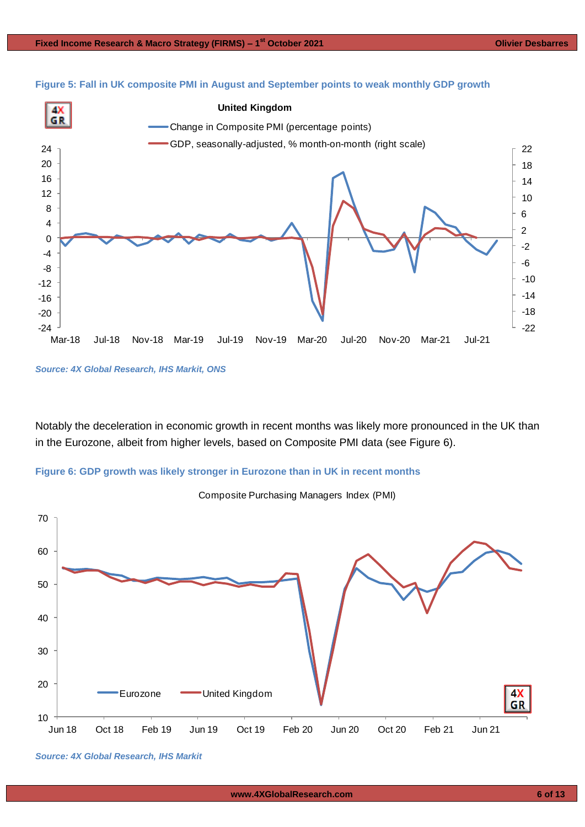



*Source: 4X Global Research, IHS Markit, ONS*

Notably the deceleration in economic growth in recent months was likely more pronounced in the UK than in the Eurozone, albeit from higher levels, based on Composite PMI data (see Figure 6).





Composite Purchasing Managers Index (PMI)

*Source: 4X Global Research, IHS Markit*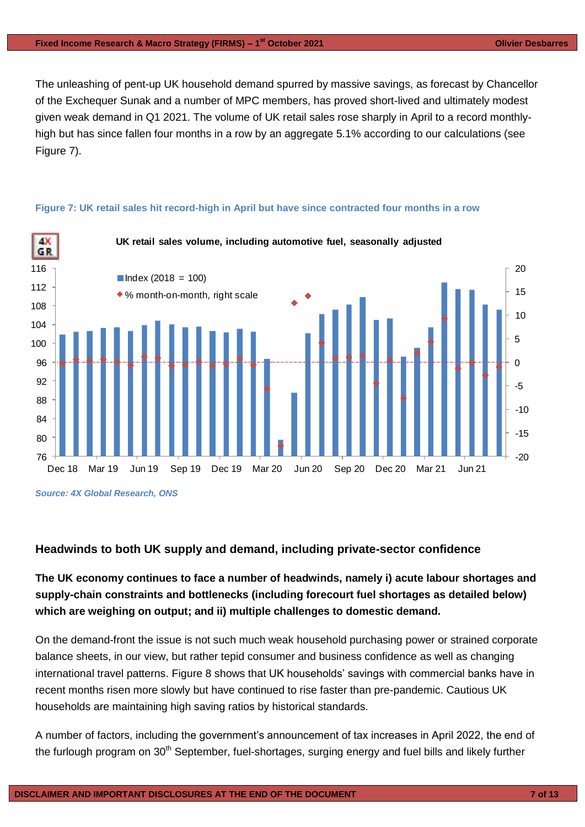The unleashing of pent-up UK household demand spurred by massive savings, as forecast by Chancellor of the Exchequer Sunak and a number of MPC members, has proved short-lived and ultimately modest given weak demand in Q1 2021. The volume of UK retail sales rose sharply in April to a record monthlyhigh but has since fallen four months in a row by an aggregate 5.1% according to our calculations (see Figure 7).



## **Figure 7: UK retail sales hit record-high in April but have since contracted four months in a row**

*Source: 4X Global Research, ONS*

# **Headwinds to both UK supply and demand, including private-sector confidence**

# **The UK economy continues to face a number of headwinds, namely i) acute labour shortages and supply-chain constraints and bottlenecks (including forecourt fuel shortages as detailed below) which are weighing on output; and ii) multiple challenges to domestic demand.**

On the demand-front the issue is not such much weak household purchasing power or strained corporate balance sheets, in our view, but rather tepid consumer and business confidence as well as changing international travel patterns. Figure 8 shows that UK households' savings with commercial banks have in recent months risen more slowly but have continued to rise faster than pre-pandemic. Cautious UK households are maintaining high saving ratios by historical standards.

A number of factors, including the government's announcement of tax increases in April 2022, the end of the furlough program on 30<sup>th</sup> September, fuel-shortages, surging energy and fuel bills and likely further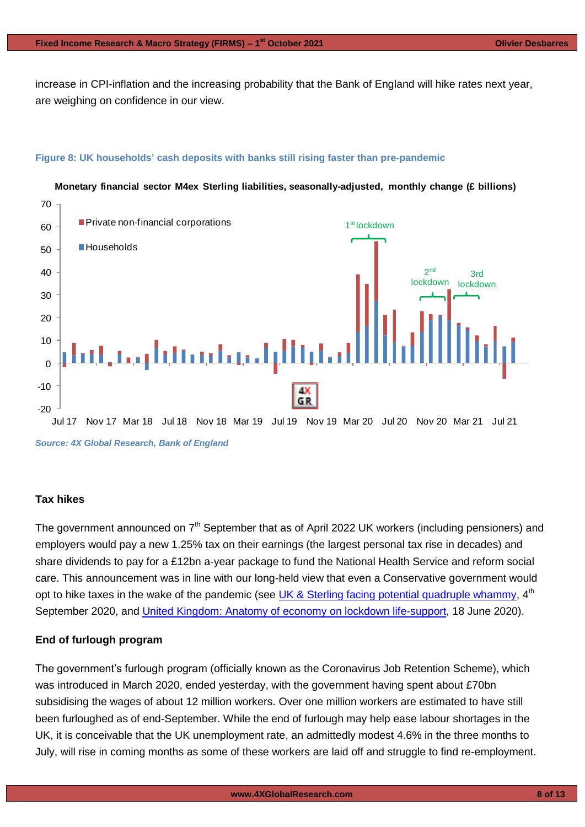increase in CPI-inflation and the increasing probability that the Bank of England will hike rates next year, are weighing on confidence in our view.

# **Figure 8: UK households' cash deposits with banks still rising faster than pre-pandemic**



# **Monetary financial sector M4ex Sterling liabilities, seasonally-adjusted, monthly change (£ billions)**

## **Tax hikes**

The government announced on  $7<sup>th</sup>$  September that as of April 2022 UK workers (including pensioners) and employers would pay a new 1.25% tax on their earnings (the largest personal tax rise in decades) and share dividends to pay for a £12bn a-year package to fund the National Health Service and reform social care. This announcement was in line with our long-held view that even a Conservative government would opt to hike taxes in the wake of the pandemic (see [UK & Sterling facing potential quadruple whammy,](https://4xglobalresearch.us16.list-manage.com/track/click?u=948838a86ce72ab6d8019a39d&id=82d670a775&e=78b92c3f0d) 4<sup>th</sup> September 2020, and [United Kingdom: Anatomy of economy on lockdown life-support,](https://mcusercontent.com/948838a86ce72ab6d8019a39d/files/2c584836-5965-46c6-8e89-176d68350fef/4X_Global_Research_United_Kingdom_Anatomy_of_economy_on_lockdown_life_support.pdf) 18 June 2020).

# **End of furlough program**

The government's furlough program (officially known as the Coronavirus Job Retention Scheme), which was introduced in March 2020, ended yesterday, with the government having spent about £70bn subsidising the wages of about 12 million workers. Over one million workers are estimated to have still been furloughed as of end-September. While the end of furlough may help ease labour shortages in the UK, it is conceivable that the UK unemployment rate, an admittedly modest 4.6% in the three months to July, will rise in coming months as some of these workers are laid off and struggle to find re-employment.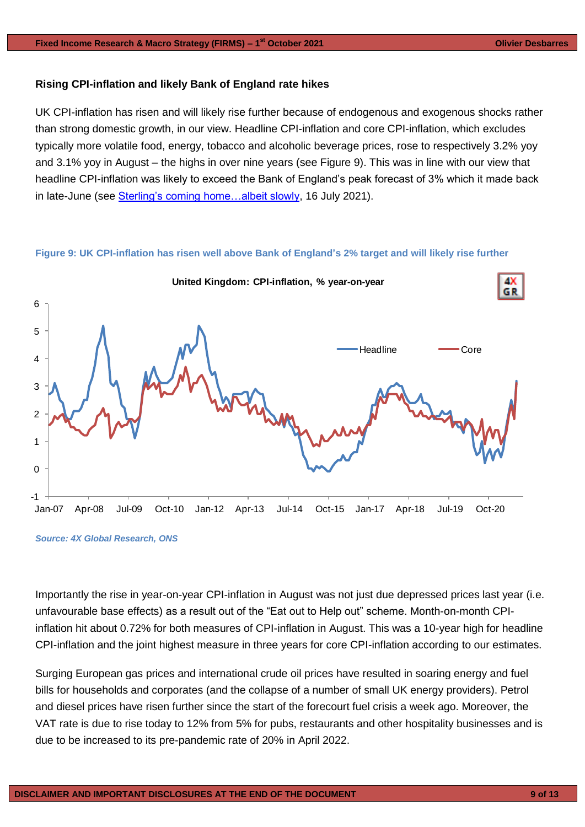# **Rising CPI-inflation and likely Bank of England rate hikes**

UK CPI-inflation has risen and will likely rise further because of endogenous and exogenous shocks rather than strong domestic growth, in our view. Headline CPI-inflation and core CPI-inflation, which excludes typically more volatile food, energy, tobacco and alcoholic beverage prices, rose to respectively 3.2% yoy and 3.1% yoy in August – the highs in over nine years (see Figure 9). This was in line with our view that headline CPI-inflation was likely to exceed the Bank of England's peak forecast of 3% which it made back in late-June (see [Sterling's coming home…albeit slowly,](https://www.4xglobalresearch.com/wp-content/uploads/2021/07/4X-Global-Research-Sterlings-coming-home-albeit-slowly.pdf) 16 July 2021).

### **Figure 9: UK CPI-inflation has risen well above Bank of England's 2% target and will likely rise further**



*Source: 4X Global Research, ONS*

Importantly the rise in year-on-year CPI-inflation in August was not just due depressed prices last year (i.e. unfavourable base effects) as a result out of the "Eat out to Help out" scheme. Month-on-month CPIinflation hit about 0.72% for both measures of CPI-inflation in August. This was a 10-year high for headline CPI-inflation and the joint highest measure in three years for core CPI-inflation according to our estimates.

Surging European gas prices and international crude oil prices have resulted in soaring energy and fuel bills for households and corporates (and the collapse of a number of small UK energy providers). Petrol and diesel prices have risen further since the start of the forecourt fuel crisis a week ago. Moreover, the VAT rate is due to rise today to 12% from 5% for pubs, restaurants and other hospitality businesses and is due to be increased to its pre-pandemic rate of 20% in April 2022.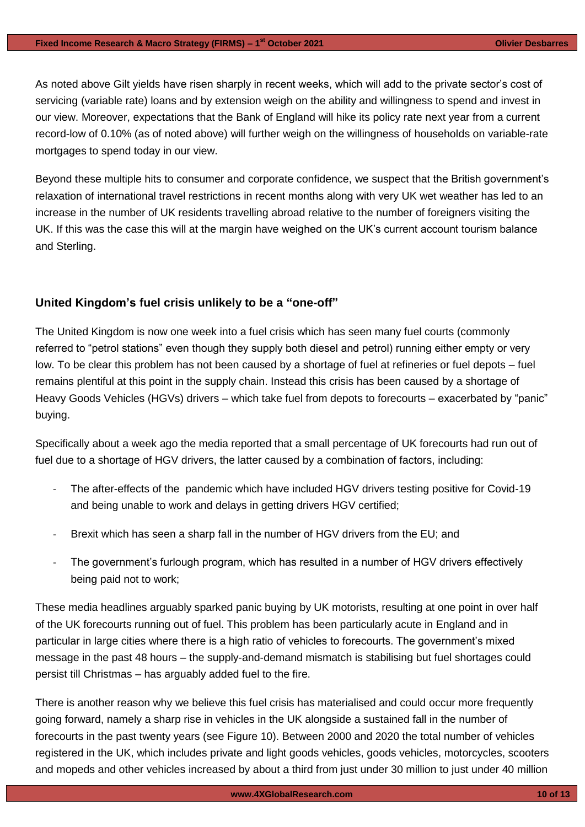As noted above Gilt yields have risen sharply in recent weeks, which will add to the private sector's cost of servicing (variable rate) loans and by extension weigh on the ability and willingness to spend and invest in our view. Moreover, expectations that the Bank of England will hike its policy rate next year from a current record-low of 0.10% (as of noted above) will further weigh on the willingness of households on variable-rate mortgages to spend today in our view.

Beyond these multiple hits to consumer and corporate confidence, we suspect that the British government's relaxation of international travel restrictions in recent months along with very UK wet weather has led to an increase in the number of UK residents travelling abroad relative to the number of foreigners visiting the UK. If this was the case this will at the margin have weighed on the UK's current account tourism balance and Sterling.

# **United Kingdom's fuel crisis unlikely to be a "one-off"**

The United Kingdom is now one week into a fuel crisis which has seen many fuel courts (commonly referred to "petrol stations" even though they supply both diesel and petrol) running either empty or very low. To be clear this problem has not been caused by a shortage of fuel at refineries or fuel depots – fuel remains plentiful at this point in the supply chain. Instead this crisis has been caused by a shortage of Heavy Goods Vehicles (HGVs) drivers – which take fuel from depots to forecourts – exacerbated by "panic" buying.

Specifically about a week ago the media reported that a small percentage of UK forecourts had run out of fuel due to a shortage of HGV drivers, the latter caused by a combination of factors, including:

- The after-effects of the pandemic which have included HGV drivers testing positive for Covid-19 and being unable to work and delays in getting drivers HGV certified;
- Brexit which has seen a sharp fall in the number of HGV drivers from the EU; and
- The government's furlough program, which has resulted in a number of HGV drivers effectively being paid not to work;

These media headlines arguably sparked panic buying by UK motorists, resulting at one point in over half of the UK forecourts running out of fuel. This problem has been particularly acute in England and in particular in large cities where there is a high ratio of vehicles to forecourts. The government's mixed message in the past 48 hours – the supply-and-demand mismatch is stabilising but fuel shortages could persist till Christmas – has arguably added fuel to the fire.

There is another reason why we believe this fuel crisis has materialised and could occur more frequently going forward, namely a sharp rise in vehicles in the UK alongside a sustained fall in the number of forecourts in the past twenty years (see Figure 10). Between 2000 and 2020 the total number of vehicles registered in the UK, which includes private and light goods vehicles, goods vehicles, motorcycles, scooters and mopeds and other vehicles increased by about a third from just under 30 million to just under 40 million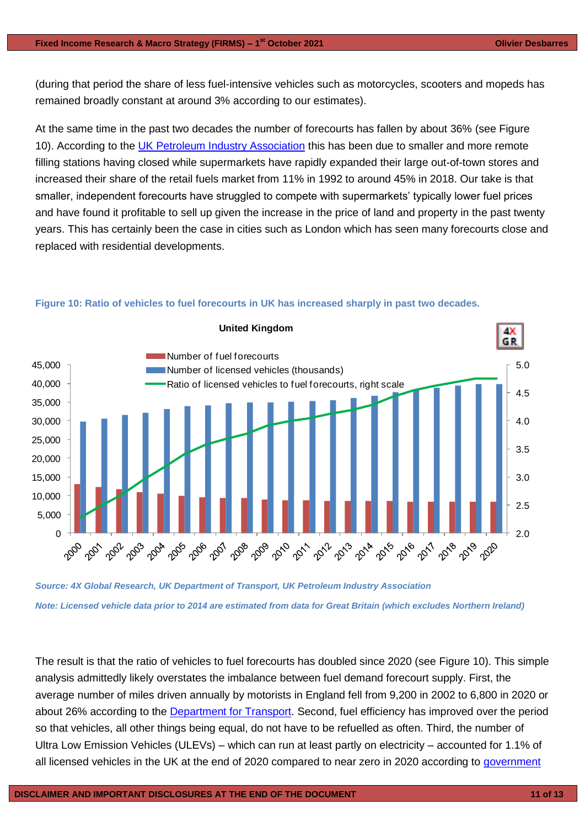(during that period the share of less fuel-intensive vehicles such as motorcycles, scooters and mopeds has remained broadly constant at around 3% according to our estimates).

At the same time in the past two decades the number of forecourts has fallen by about 36% (see Figure 10). According to the [UK Petroleum Industry Association](https://www.ukpia.com/downstream-oil/uk-downstream/marketing-and-forecourts/) this has been due to smaller and more remote filling stations having closed while supermarkets have rapidly expanded their large out-of-town stores and increased their share of the retail fuels market from 11% in 1992 to around 45% in 2018. Our take is that smaller, independent forecourts have struggled to compete with supermarkets' typically lower fuel prices and have found it profitable to sell up given the increase in the price of land and property in the past twenty years. This has certainly been the case in cities such as London which has seen many forecourts close and replaced with residential developments.



#### **Figure 10: Ratio of vehicles to fuel forecourts in UK has increased sharply in past two decades.**

*Source: 4X Global Research, UK Department of Transport, UK Petroleum Industry Association Note: Licensed vehicle data prior to 2014 are estimated from data for Great Britain (which excludes Northern Ireland)*

The result is that the ratio of vehicles to fuel forecourts has doubled since 2020 (see Figure 10). This simple analysis admittedly likely overstates the imbalance between fuel demand forecourt supply. First, the average number of miles driven annually by motorists in England fell from 9,200 in 2002 to 6,800 in 2020 or about 26% according to the **Department for Transport**. Second, fuel efficiency has improved over the period so that vehicles, all other things being equal, do not have to be refuelled as often. Third, the number of Ultra Low Emission Vehicles (ULEVs) – which can run at least partly on electricity – accounted for 1.1% of all licensed vehicles in the UK at the end of 2020 compared to near zero in 2020 according to government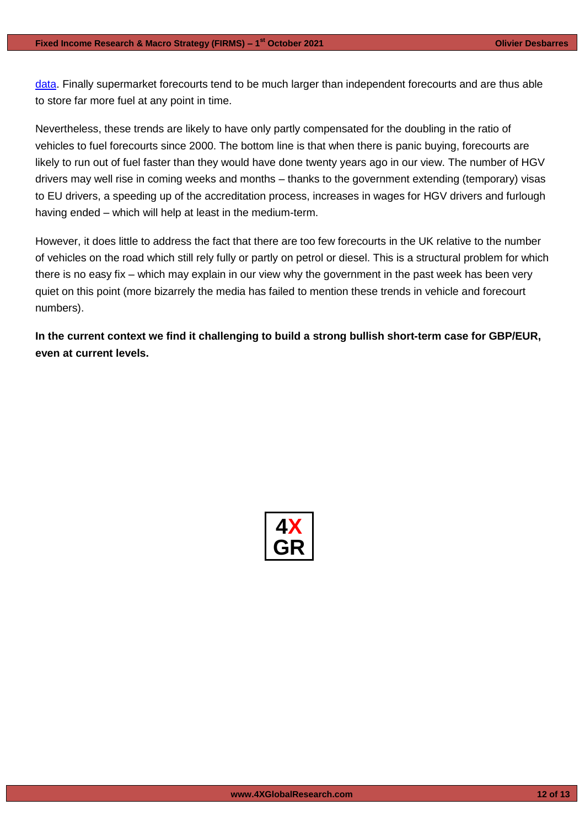data. Finally supermarket forecourts tend to be much larger than independent forecourts and are thus able to store far more fuel at any point in time.

Nevertheless, these trends are likely to have only partly compensated for the doubling in the ratio of vehicles to fuel forecourts since 2000. The bottom line is that when there is panic buying, forecourts are likely to run out of fuel faster than they would have done twenty years ago in our view. The number of HGV drivers may well rise in coming weeks and months – thanks to the government extending (temporary) visas to EU drivers, a speeding up of the accreditation process, increases in wages for HGV drivers and furlough having ended – which will help at least in the medium-term.

However, it does little to address the fact that there are too few forecourts in the UK relative to the number of vehicles on the road which still rely fully or partly on petrol or diesel. This is a structural problem for which there is no easy fix – which may explain in our view why the government in the past week has been very quiet on this point (more bizarrely the media has failed to mention these trends in vehicle and forecourt numbers).

**In the current context we find it challenging to build a strong bullish short-term case for GBP/EUR, even at current levels.**